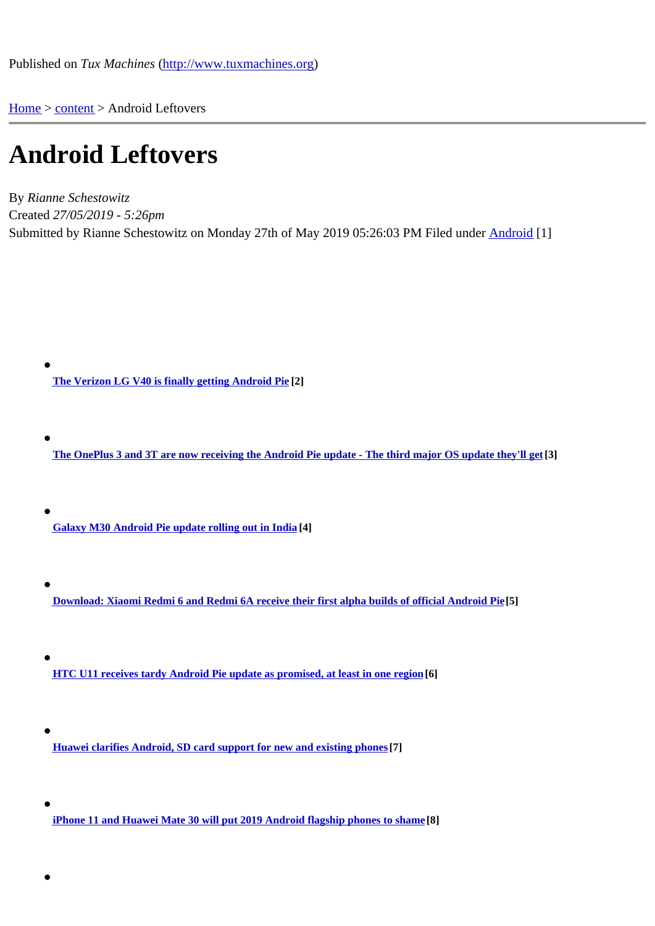Home > content > Android [Leftovers](http://www.tuxmachines.org)

## [An](http://www.tuxmachines.org/)[droid](http://www.tuxmachines.org/node) Leftovers

By Rianne Schestowitz Created 27/05/2019 - 5:26pm Submitted by Rianne Schestowitz on Monday 27th of May 2019 05:26:03 PM under Android [1]

The Verizon LG V40 is finally getting Android Pie[2]

The OnePlus 3 and 3T are now receiving the Android Pie update - The third major OS update they'll det

Galaxy M30 Android Pie update rolling out in India[4]

- Download: Xiaomi Redmi 6 and Redmi 6A receive their first alpha builds of official Android Pie5]
- HTC U11 receives tardy Android Pie update as promised, at least in one regito)
- Huawei clarifies Android, SD card support for new and existing phone<sup>[7]</sup>
- iPhone 11 and Huawei Mate 30 will put 2019 Android flagship phones to share